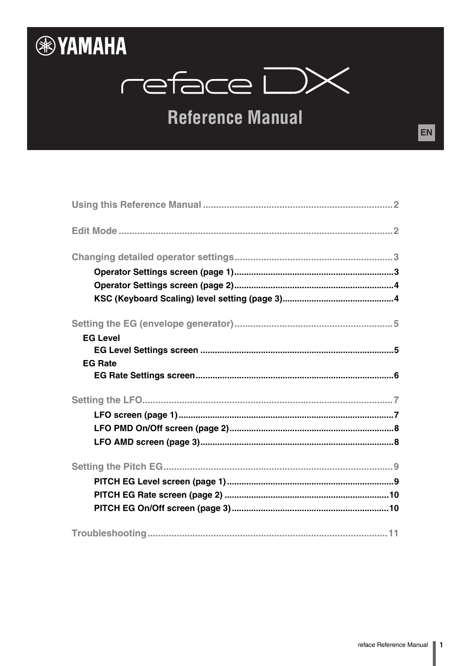

# reface DX

# **Reference Manual**

| <b>EG Level</b> |
|-----------------|
|                 |
| <b>EG Rate</b>  |
|                 |
|                 |
|                 |
|                 |
|                 |
|                 |
|                 |
|                 |
|                 |
|                 |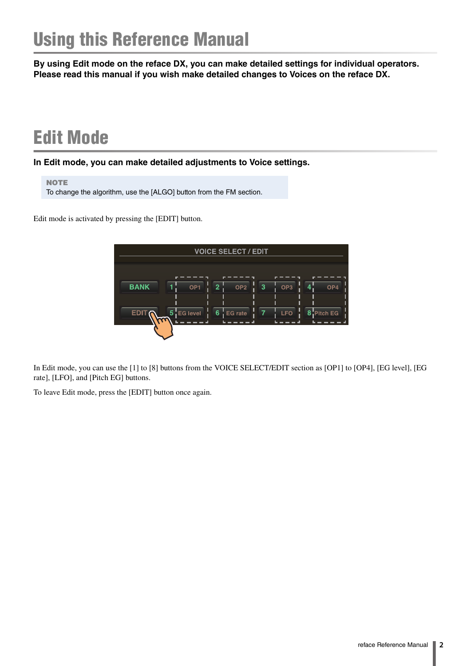<span id="page-1-0"></span>**By using Edit mode on the reface DX, you can make detailed settings for individual operators. Please read this manual if you wish make detailed changes to Voices on the reface DX.**

# <span id="page-1-1"></span>Edit Mode

**In Edit mode, you can make detailed adjustments to Voice settings.**

**NOTE** To change the algorithm, use the [ALGO] button from the FM section.

Edit mode is activated by pressing the [EDIT] button.



In Edit mode, you can use the [1] to [8] buttons from the VOICE SELECT/EDIT section as [OP1] to [OP4], [EG level], [EG rate], [LFO], and [Pitch EG] buttons.

To leave Edit mode, press the [EDIT] button once again.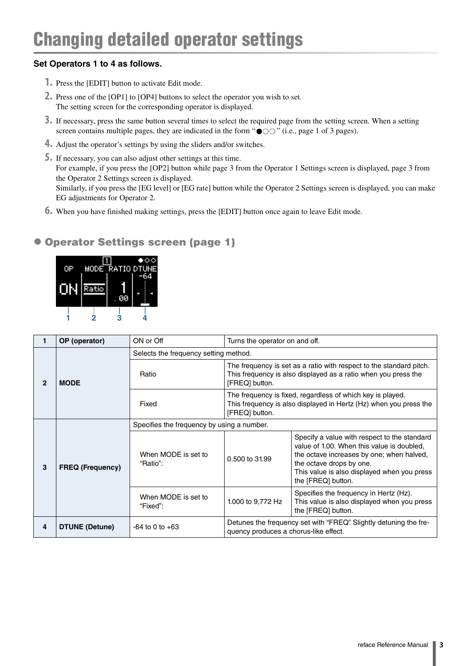#### <span id="page-2-0"></span>**Set Operators 1 to 4 as follows.**

- **1.** Press the [EDIT] button to activate Edit mode.
- **2.** Press one of the [OP1] to [OP4] buttons to select the operator you wish to set. The setting screen for the corresponding operator is displayed.
- **3.** If necessary, press the same button several times to select the required page from the setting screen. When a setting screen contains multiple pages, they are indicated in the form " $\bullet \circ \circ$ " (i.e., page 1 of 3 pages).
- **4.** Adjust the operator's settings by using the sliders and/or switches.
- **5.** If necessary, you can also adjust other settings at this time. For example, if you press the [OP2] button while page 3 from the Operator 1 Settings screen is displayed, page 3 from the Operator 2 Settings screen is displayed. Similarly, if you press the [EG level] or [EG rate] button while the Operator 2 Settings screen is displayed, you can make EG adjustments for Operator 2.
- **6.** When you have finished making settings, press the [EDIT] button once again to leave Edit mode.

#### <span id="page-2-1"></span>Operator Settings screen (page 1)



|              | OP (operator)           | ON or Off                                  | Turns the operator on and off.                                                                                                                    |                                                                                                                                                                                                                                          |  |  |
|--------------|-------------------------|--------------------------------------------|---------------------------------------------------------------------------------------------------------------------------------------------------|------------------------------------------------------------------------------------------------------------------------------------------------------------------------------------------------------------------------------------------|--|--|
|              | <b>MODE</b>             | Selects the frequency setting method.      |                                                                                                                                                   |                                                                                                                                                                                                                                          |  |  |
| $\mathbf{2}$ |                         | Ratio                                      | [FREQ] button.                                                                                                                                    | The frequency is set as a ratio with respect to the standard pitch.<br>This frequency is also displayed as a ratio when you press the                                                                                                    |  |  |
|              |                         | Fixed                                      | The frequency is fixed, regardless of which key is played.<br>This frequency is also displayed in Hertz (Hz) when you press the<br>[FREQ] button. |                                                                                                                                                                                                                                          |  |  |
|              |                         | Specifies the frequency by using a number. |                                                                                                                                                   |                                                                                                                                                                                                                                          |  |  |
| 3            | <b>FREQ (Frequency)</b> | When MODE is set to<br>"Ratio":            | 0.500 to 31.99                                                                                                                                    | Specify a value with respect to the standard<br>value of 1.00. When this value is doubled,<br>the octave increases by one; when halved,<br>the octave drops by one.<br>This value is also displayed when you press<br>the [FREQ] button. |  |  |
|              |                         | When MODE is set to<br>"Fixed":            | 1.000 to 9,772 Hz                                                                                                                                 | Specifies the frequency in Hertz (Hz).<br>This value is also displayed when you press<br>the [FREQ] button.                                                                                                                              |  |  |
| 4            | DTUNE (Detune)          | $-64$ to 0 to $+63$                        | quency produces a chorus-like effect.                                                                                                             | Detunes the frequency set with "FREQ". Slightly detuning the fre-                                                                                                                                                                        |  |  |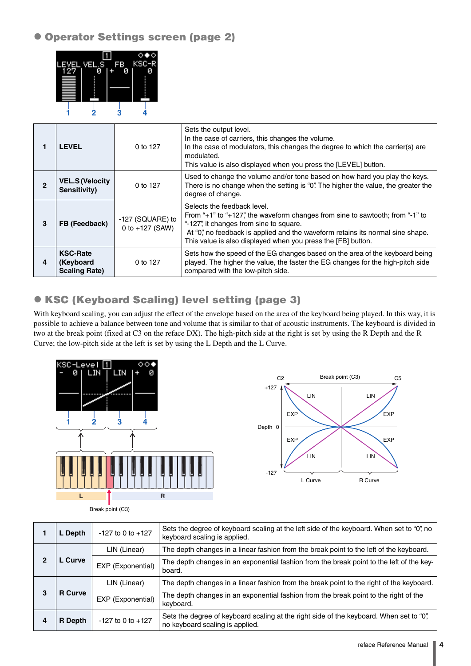<span id="page-3-0"></span>Operator Settings screen (page 2)



|   | <b>LEVEL</b>                                                            | 0 to 127                              | Sets the output level.<br>In the case of carriers, this changes the volume.<br>In the case of modulators, this changes the degree to which the carrier(s) are<br>modulated.<br>This value is also displayed when you press the [LEVEL] button.                                                            |
|---|-------------------------------------------------------------------------|---------------------------------------|-----------------------------------------------------------------------------------------------------------------------------------------------------------------------------------------------------------------------------------------------------------------------------------------------------------|
| 2 | <b>VEL.S (Velocity</b><br>0 to 127<br>Sensitivity)<br>degree of change. |                                       | Used to change the volume and/or tone based on how hard you play the keys.<br>There is no change when the setting is "0". The higher the value, the greater the                                                                                                                                           |
| 3 | FB (Feedback)                                                           | -127 (SQUARE) to<br>0 to $+127$ (SAW) | Selects the feedback level.<br>From "+1" to "+127", the waveform changes from sine to sawtooth; from "-1" to<br>"-127", it changes from sine to square.<br>At "0", no feedback is applied and the waveform retains its normal sine shape.<br>This value is also displayed when you press the [FB] button. |
| 4 | <b>KSC-Rate</b><br>(Keyboard<br><b>Scaling Rate)</b>                    | 0 to 127                              | Sets how the speed of the EG changes based on the area of the keyboard being<br>played. The higher the value, the faster the EG changes for the high-pitch side<br>compared with the low-pitch side.                                                                                                      |

### <span id="page-3-1"></span>KSC (Keyboard Scaling) level setting (page 3)

With keyboard scaling, you can adjust the effect of the envelope based on the area of the keyboard being played. In this way, it is possible to achieve a balance between tone and volume that is similar to that of acoustic instruments. The keyboard is divided in two at the break point (fixed at C3 on the reface DX). The high-pitch side at the right is set by using the R Depth and the R Curve; the low-pitch side at the left is set by using the L Depth and the L Curve.





Break point (C3)

|   | $-127$ to 0 to $+127$<br>L Depth |                   | Sets the degree of keyboard scaling at the left side of the keyboard. When set to "0", no<br>keyboard scaling is applied.  |
|---|----------------------------------|-------------------|----------------------------------------------------------------------------------------------------------------------------|
|   |                                  | LIN (Linear)      | The depth changes in a linear fashion from the break point to the left of the keyboard.                                    |
| 2 | <b>L</b> Curve                   | EXP (Exponential) | The depth changes in an exponential fashion from the break point to the left of the key-<br>board.                         |
|   |                                  | LIN (Linear)      | The depth changes in a linear fashion from the break point to the right of the keyboard.                                   |
| 3 | <b>R</b> Curve                   | EXP (Exponential) | The depth changes in an exponential fashion from the break point to the right of the<br>keyboard.                          |
|   | $-127$ to 0 to $+127$<br>R Depth |                   | Sets the degree of keyboard scaling at the right side of the keyboard. When set to "0",<br>no keyboard scaling is applied. |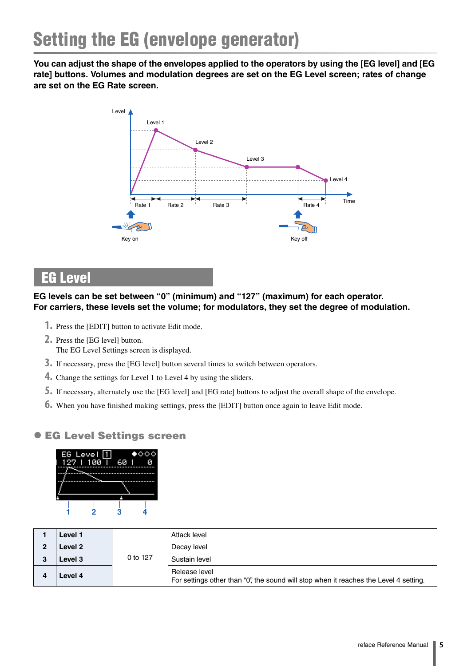<span id="page-4-0"></span>**You can adjust the shape of the envelopes applied to the operators by using the [EG level] and [EG rate] buttons. Volumes and modulation degrees are set on the EG Level screen; rates of change are set on the EG Rate screen.**



# <span id="page-4-1"></span>EG Level

#### **EG levels can be set between "0" (minimum) and "127" (maximum) for each operator. For carriers, these levels set the volume; for modulators, they set the degree of modulation.**

- **1.** Press the [EDIT] button to activate Edit mode.
- **2.** Press the [EG level] button. The EG Level Settings screen is displayed.
- **3.** If necessary, press the [EG level] button several times to switch between operators.
- **4.** Change the settings for Level 1 to Level 4 by using the sliders.
- **5.** If necessary, alternately use the [EG level] and [EG rate] buttons to adjust the overall shape of the envelope.
- **6.** When you have finished making settings, press the [EDIT] button once again to leave Edit mode.

#### <span id="page-4-2"></span> $\bullet$  **EG Level Settings screen**



| Level 1 |          | Attack level                                                                                           |
|---------|----------|--------------------------------------------------------------------------------------------------------|
| Level 2 | 0 to 127 | Decay level                                                                                            |
| Level 3 |          | Sustain level                                                                                          |
| Level 4 |          | Release level<br>For settings other than "0", the sound will stop when it reaches the Level 4 setting. |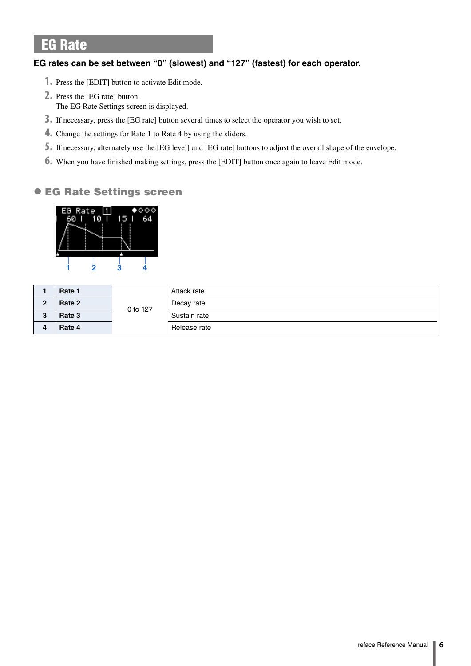# <span id="page-5-0"></span>EG Rate

#### **EG rates can be set between "0" (slowest) and "127" (fastest) for each operator.**

- **1.** Press the [EDIT] button to activate Edit mode.
- **2.** Press the [EG rate] button. The EG Rate Settings screen is displayed.
- **3.** If necessary, press the [EG rate] button several times to select the operator you wish to set.
- **4.** Change the settings for Rate 1 to Rate 4 by using the sliders.
- **5.** If necessary, alternately use the [EG level] and [EG rate] buttons to adjust the overall shape of the envelope.
- **6.** When you have finished making settings, press the [EDIT] button once again to leave Edit mode.

#### <span id="page-5-1"></span>EG Rate Settings screen



|               | Rate 1 |          | Attack rate  |
|---------------|--------|----------|--------------|
| C<br><b>.</b> | Rate 2 |          | Decay rate   |
| J.            | Rate 3 | 0 to 127 | Sustain rate |
| д             | Rate 4 |          | Release rate |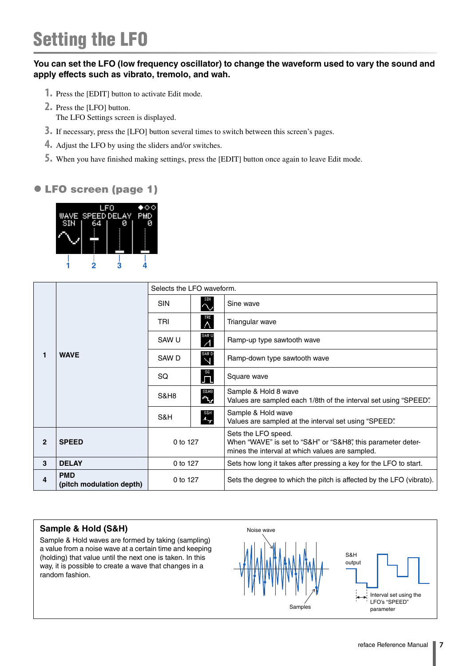# <span id="page-6-0"></span>Setting the LFO

#### **You can set the LFO (low frequency oscillator) to change the waveform used to vary the sound and apply effects such as vibrato, tremolo, and wah.**

- **1.** Press the [EDIT] button to activate Edit mode.
- **2.** Press the [LFO] button.
	- The LFO Settings screen is displayed.
- **3.** If necessary, press the [LFO] button several times to switch between this screen's pages.
- **4.** Adjust the LFO by using the sliders and/or switches.
- **5.** When you have finished making settings, press the [EDIT] button once again to leave Edit mode.

### <span id="page-6-1"></span>LFO screen (page 1)



|              |                                                                                                                                                                                    | Selects the LFO waveform. |                        |                                                                                                                                        |
|--------------|------------------------------------------------------------------------------------------------------------------------------------------------------------------------------------|---------------------------|------------------------|----------------------------------------------------------------------------------------------------------------------------------------|
|              |                                                                                                                                                                                    | <b>SIN</b>                | $\sim$                 | Sine wave                                                                                                                              |
|              |                                                                                                                                                                                    | TRI                       | TRI<br>$\wedge$        | Triangular wave                                                                                                                        |
|              |                                                                                                                                                                                    | SAW U                     | SAW U<br>$\mathcal{A}$ | Ramp-up type sawtooth wave                                                                                                             |
| 1            | sawd<br>N<br><b>WAVE</b><br>SAW D<br>$\mathbf{\Gamma}^{\text{sa}}$<br>SQ.<br>Square wave<br>S&H8<br>L<br><b>S&amp;H8</b><br>Sample & Hold wave<br>s&н<br>.վ. <sub>կ</sub> ր<br>S&H |                           |                        | Ramp-down type sawtooth wave                                                                                                           |
|              |                                                                                                                                                                                    |                           |                        |                                                                                                                                        |
|              |                                                                                                                                                                                    |                           |                        | Sample & Hold 8 wave<br>Values are sampled each 1/8th of the interval set using "SPEED".                                               |
|              |                                                                                                                                                                                    |                           |                        | Values are sampled at the interval set using "SPEED".                                                                                  |
| $\mathbf{2}$ | <b>SPEED</b>                                                                                                                                                                       | 0 to 127                  |                        | Sets the LFO speed.<br>When "WAVE" is set to "S&H" or "S&H8", this parameter deter-<br>mines the interval at which values are sampled. |
| 3            | <b>DELAY</b>                                                                                                                                                                       | 0 to 127                  |                        | Sets how long it takes after pressing a key for the LFO to start.                                                                      |
| 4            | <b>PMD</b><br>(pitch modulation depth)                                                                                                                                             | 0 to 127                  |                        | Sets the degree to which the pitch is affected by the LFO (vibrato).                                                                   |

#### **Sample & Hold (S&H)**

Sample & Hold waves are formed by taking (sampling) a value from a noise wave at a certain time and keeping (holding) that value until the next one is taken. In this way, it is possible to create a wave that changes in a random fashion.

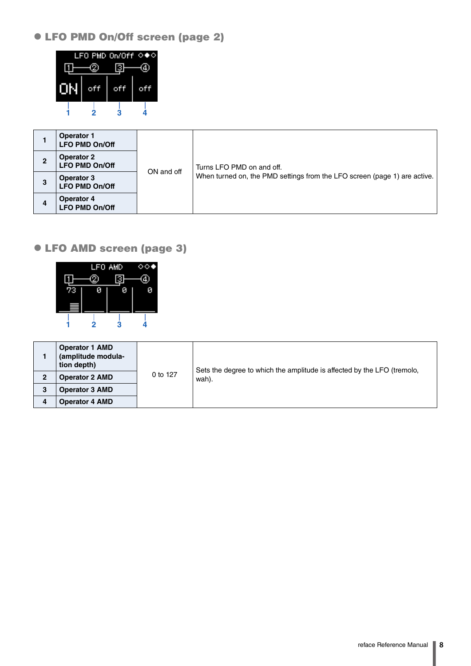### <span id="page-7-0"></span>LFO PMD On/Off screen (page 2)



|   | <b>Operator 1</b><br>LFO PMD On/Off        | ON and off |                                                                           |
|---|--------------------------------------------|------------|---------------------------------------------------------------------------|
| 2 | <b>Operator 2</b><br><b>LFO PMD On/Off</b> |            | Turns LFO PMD on and off.                                                 |
| 3 | Operator 3<br><b>LFO PMD On/Off</b>        |            | When turned on, the PMD settings from the LFO screen (page 1) are active. |
| 4 | <b>Operator 4</b><br><b>LFO PMD On/Off</b> |            |                                                                           |

### <span id="page-7-1"></span>LFO AMD screen (page 3)



|   | <b>Operator 1 AMD</b><br>(amplitude modula-<br>tion depth) | 0 to 127 | Sets the degree to which the amplitude is affected by the LFO (tremolo,<br>wah). |
|---|------------------------------------------------------------|----------|----------------------------------------------------------------------------------|
| 2 | <b>Operator 2 AMD</b>                                      |          |                                                                                  |
| 3 | <b>Operator 3 AMD</b>                                      |          |                                                                                  |
|   | <b>Operator 4 AMD</b>                                      |          |                                                                                  |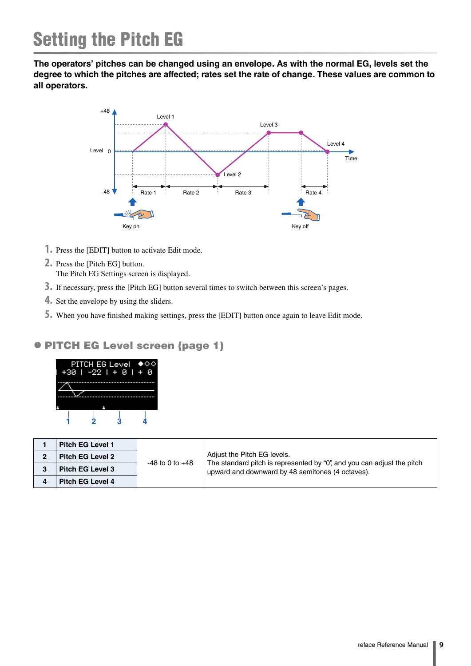<span id="page-8-0"></span>**The operators' pitches can be changed using an envelope. As with the normal EG, levels set the degree to which the pitches are affected; rates set the rate of change. These values are common to all operators.**



- **1.** Press the [EDIT] button to activate Edit mode.
- **2.** Press the [Pitch EG] button.
	- The Pitch EG Settings screen is displayed.
- **3.** If necessary, press the [Pitch EG] button several times to switch between this screen's pages.
- **4.** Set the envelope by using the sliders.
- **5.** When you have finished making settings, press the [EDIT] button once again to leave Edit mode.

#### <span id="page-8-1"></span>PITCH EG Level screen (page 1)



| <b>Pitch EG Level 1</b> | $-48$ to 0 to $+48$ | Adjust the Pitch EG levels.<br>The standard pitch is represented by "0", and you can adjust the pitch<br>upward and downward by 48 semitones (4 octaves). |
|-------------------------|---------------------|-----------------------------------------------------------------------------------------------------------------------------------------------------------|
| <b>Pitch EG Level 2</b> |                     |                                                                                                                                                           |
| <b>Pitch EG Level 3</b> |                     |                                                                                                                                                           |
| <b>Pitch EG Level 4</b> |                     |                                                                                                                                                           |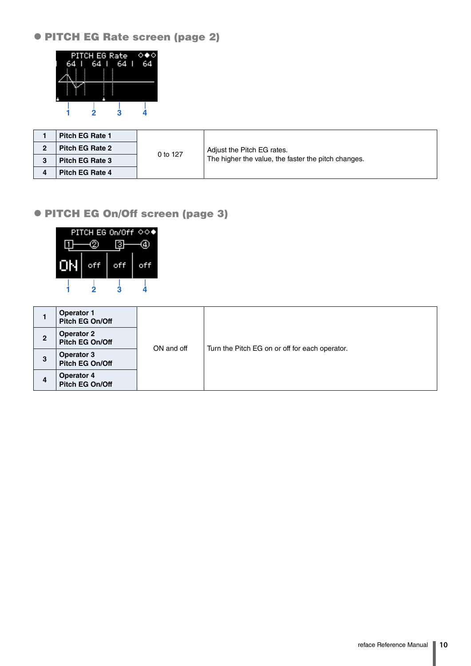<span id="page-9-0"></span>PITCH EG Rate screen (page 2)



| <b>Pitch EG Rate 1</b> | 0 to 127 | Adjust the Pitch EG rates.                          |
|------------------------|----------|-----------------------------------------------------|
| <b>Pitch EG Rate 2</b> |          |                                                     |
| <b>Pitch EG Rate 3</b> |          | The higher the value, the faster the pitch changes. |
| Pitch EG Rate 4        |          |                                                     |

#### <span id="page-9-1"></span>PITCH EG On/Off screen (page 3)



|   | <b>Operator 1</b><br>Pitch EG On/Off | ON and off |                                                |
|---|--------------------------------------|------------|------------------------------------------------|
| 2 | <b>Operator 2</b><br>Pitch EG On/Off |            |                                                |
| 3 | <b>Operator 3</b><br>Pitch EG On/Off |            | Turn the Pitch EG on or off for each operator. |
| 4 | <b>Operator 4</b><br>Pitch EG On/Off |            |                                                |
|   |                                      |            |                                                |